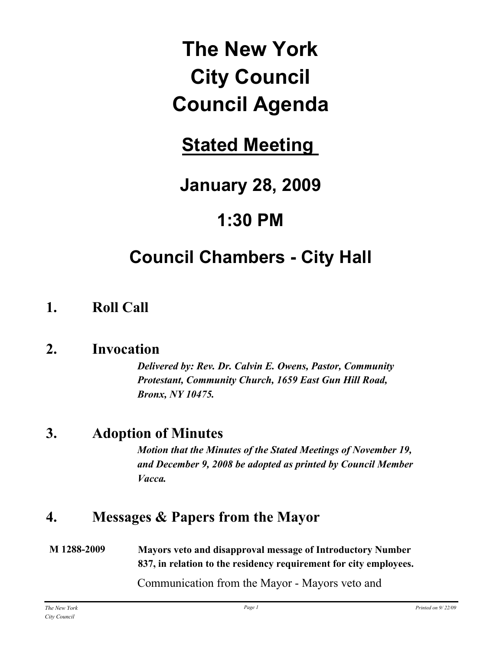# **The New York City Council Council Agenda**

# **Stated Meeting**

# **January 28, 2009**

# **1:30 PM**

# **Council Chambers - City Hall**

# **1. Roll Call**

## **2. Invocation**

*Delivered by: Rev. Dr. Calvin E. Owens, Pastor, Community Protestant, Community Church, 1659 East Gun Hill Road, Bronx, NY 10475.*

# **3. Adoption of Minutes**

*Motion that the Minutes of the Stated Meetings of November 19, and December 9, 2008 be adopted as printed by Council Member Vacca.*

# **4. Messages & Papers from the Mayor**

**M 1288-2009 Mayors veto and disapproval message of Introductory Number 837, in relation to the residency requirement for city employees.**

Communication from the Mayor - Mayors veto and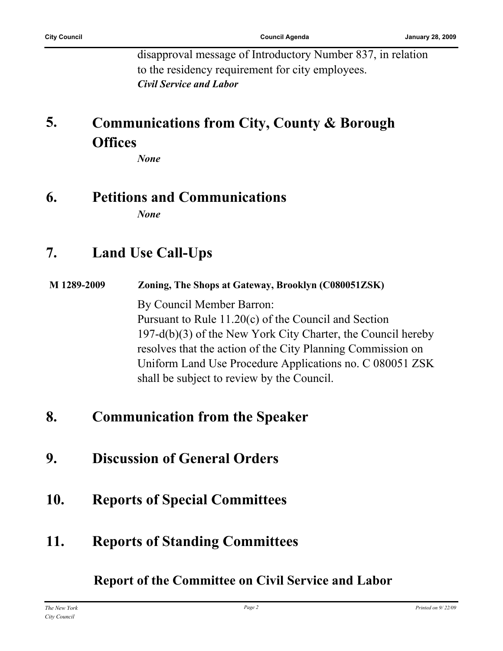disapproval message of Introductory Number 837, in relation to the residency requirement for city employees. *Civil Service and Labor*

#### **Communications from City, County & Borough Offices 5.**

*None*

# **6. Petitions and Communications**

*None*

## **7. Land Use Call-Ups**

**M 1289-2009 Zoning, The Shops at Gateway, Brooklyn (C080051ZSK)**

By Council Member Barron: Pursuant to Rule 11.20(c) of the Council and Section 197-d(b)(3) of the New York City Charter, the Council hereby resolves that the action of the City Planning Commission on Uniform Land Use Procedure Applications no. C 080051 ZSK shall be subject to review by the Council.

## **8. Communication from the Speaker**

- **9. Discussion of General Orders**
- **10. Reports of Special Committees**
- **11. Reports of Standing Committees**

**Report of the Committee on Civil Service and Labor**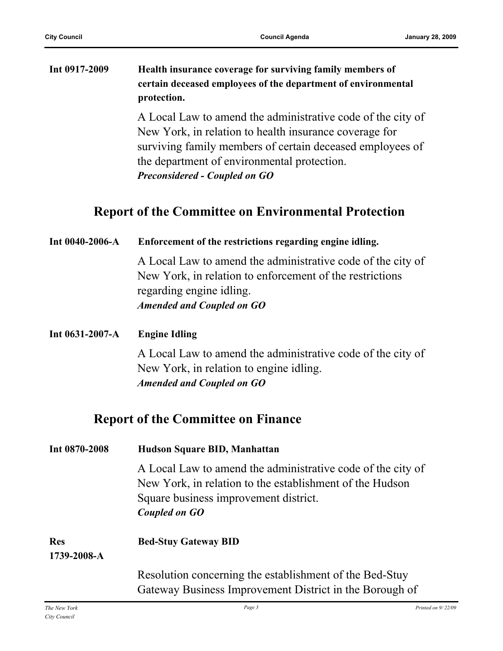| Int 0917-2009 | Health insurance coverage for surviving family members of                                                                                                                                                                                                                                                                                                                                                                                                    |  |
|---------------|--------------------------------------------------------------------------------------------------------------------------------------------------------------------------------------------------------------------------------------------------------------------------------------------------------------------------------------------------------------------------------------------------------------------------------------------------------------|--|
|               | certain deceased employees of the department of environmental                                                                                                                                                                                                                                                                                                                                                                                                |  |
|               | protection.                                                                                                                                                                                                                                                                                                                                                                                                                                                  |  |
|               | $\mathcal{L} = \mathcal{L} = \mathcal{L} = \mathcal{L} = \mathcal{L} = \mathcal{L} = \mathcal{L} = \mathcal{L} = \mathcal{L} = \mathcal{L} = \mathcal{L} = \mathcal{L} = \mathcal{L} = \mathcal{L} = \mathcal{L} = \mathcal{L} = \mathcal{L} = \mathcal{L} = \mathcal{L} = \mathcal{L} = \mathcal{L} = \mathcal{L} = \mathcal{L} = \mathcal{L} = \mathcal{L} = \mathcal{L} = \mathcal{L} = \mathcal{L} = \mathcal{L} = \mathcal{L} = \mathcal{L} = \mathcal$ |  |

A Local Law to amend the administrative code of the city of New York, in relation to health insurance coverage for surviving family members of certain deceased employees of the department of environmental protection. *Preconsidered - Coupled on GO*

### **Report of the Committee on Environmental Protection**

| Int 0040-2006-A           | Enforcement of the restrictions regarding engine idling.                                                                                                                                 |
|---------------------------|------------------------------------------------------------------------------------------------------------------------------------------------------------------------------------------|
|                           | A Local Law to amend the administrative code of the city of<br>New York, in relation to enforcement of the restrictions<br>regarding engine idling.<br><b>Amended and Coupled on GO</b>  |
| Int 0631-2007-A           | <b>Engine Idling</b>                                                                                                                                                                     |
|                           | A Local Law to amend the administrative code of the city of<br>New York, in relation to engine idling.<br><b>Amended and Coupled on GO</b>                                               |
|                           | <b>Report of the Committee on Finance</b>                                                                                                                                                |
| Int 0870-2008             | Hudson Square BID, Manhattan                                                                                                                                                             |
|                           | A Local Law to amend the administrative code of the city of<br>New York, in relation to the establishment of the Hudson<br>Square business improvement district.<br><b>Coupled on GO</b> |
| <b>Res</b><br>1739-2008-A | <b>Bed-Stuy Gateway BID</b>                                                                                                                                                              |
|                           | Resolution concerning the establishment of the Bed-Stuy<br>Gateway Business Improvement District in the Borough of                                                                       |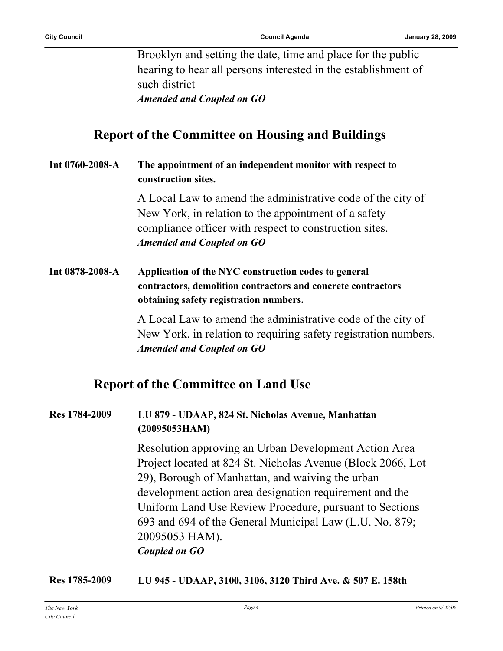Brooklyn and setting the date, time and place for the public hearing to hear all persons interested in the establishment of such district *Amended and Coupled on GO*

**Report of the Committee on Housing and Buildings**

**Int 0760-2008-A The appointment of an independent monitor with respect to construction sites.**

> A Local Law to amend the administrative code of the city of New York, in relation to the appointment of a safety compliance officer with respect to construction sites. *Amended and Coupled on GO*

**Int 0878-2008-A Application of the NYC construction codes to general contractors, demolition contractors and concrete contractors obtaining safety registration numbers.**

> A Local Law to amend the administrative code of the city of New York, in relation to requiring safety registration numbers. *Amended and Coupled on GO*

### **Report of the Committee on Land Use**

#### **Res 1784-2009 LU 879 - UDAAP, 824 St. Nicholas Avenue, Manhattan (20095053HAM)**

Resolution approving an Urban Development Action Area Project located at 824 St. Nicholas Avenue (Block 2066, Lot 29), Borough of Manhattan, and waiving the urban development action area designation requirement and the Uniform Land Use Review Procedure, pursuant to Sections 693 and 694 of the General Municipal Law (L.U. No. 879; 20095053 HAM). *Coupled on GO*

**Res 1785-2009 LU 945 - UDAAP, 3100, 3106, 3120 Third Ave. & 507 E. 158th**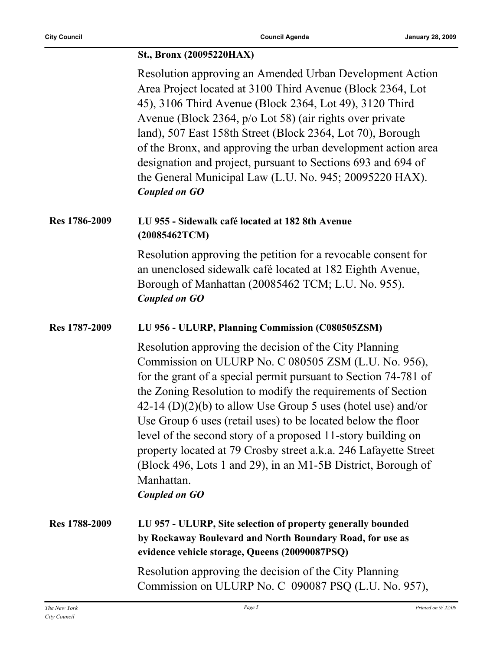#### **St., Bronx (20095220HAX)**

|               | Resolution approving an Amended Urban Development Action<br>Area Project located at 3100 Third Avenue (Block 2364, Lot<br>45), 3106 Third Avenue (Block 2364, Lot 49), 3120 Third<br>Avenue (Block 2364, p/o Lot 58) (air rights over private<br>land), 507 East 158th Street (Block 2364, Lot 70), Borough<br>of the Bronx, and approving the urban development action area<br>designation and project, pursuant to Sections 693 and 694 of<br>the General Municipal Law (L.U. No. 945; 20095220 HAX).<br><b>Coupled on GO</b>                                                                                              |
|---------------|------------------------------------------------------------------------------------------------------------------------------------------------------------------------------------------------------------------------------------------------------------------------------------------------------------------------------------------------------------------------------------------------------------------------------------------------------------------------------------------------------------------------------------------------------------------------------------------------------------------------------|
| Res 1786-2009 | LU 955 - Sidewalk café located at 182 8th Avenue<br>(20085462TCM)                                                                                                                                                                                                                                                                                                                                                                                                                                                                                                                                                            |
|               | Resolution approving the petition for a revocable consent for<br>an unenclosed sidewalk café located at 182 Eighth Avenue,<br>Borough of Manhattan (20085462 TCM; L.U. No. 955).<br><b>Coupled on GO</b>                                                                                                                                                                                                                                                                                                                                                                                                                     |
| Res 1787-2009 | LU 956 - ULURP, Planning Commission (C080505ZSM)                                                                                                                                                                                                                                                                                                                                                                                                                                                                                                                                                                             |
|               | Resolution approving the decision of the City Planning<br>Commission on ULURP No. C 080505 ZSM (L.U. No. 956),<br>for the grant of a special permit pursuant to Section 74-781 of<br>the Zoning Resolution to modify the requirements of Section<br>$42-14$ (D)(2)(b) to allow Use Group 5 uses (hotel use) and/or<br>Use Group 6 uses (retail uses) to be located below the floor<br>level of the second story of a proposed 11-story building on<br>property located at 79 Crosby street a.k.a. 246 Lafayette Street<br>(Block 496, Lots 1 and 29), in an M1-5B District, Borough of<br>Manhattan.<br><b>Coupled on GO</b> |
| Res 1788-2009 | LU 957 - ULURP, Site selection of property generally bounded<br>by Rockaway Boulevard and North Boundary Road, for use as<br>evidence vehicle storage, Queens (20090087PSQ)                                                                                                                                                                                                                                                                                                                                                                                                                                                  |
|               | Resolution approving the decision of the City Planning<br>Commission on ULURP No. C 090087 PSQ (L.U. No. 957),                                                                                                                                                                                                                                                                                                                                                                                                                                                                                                               |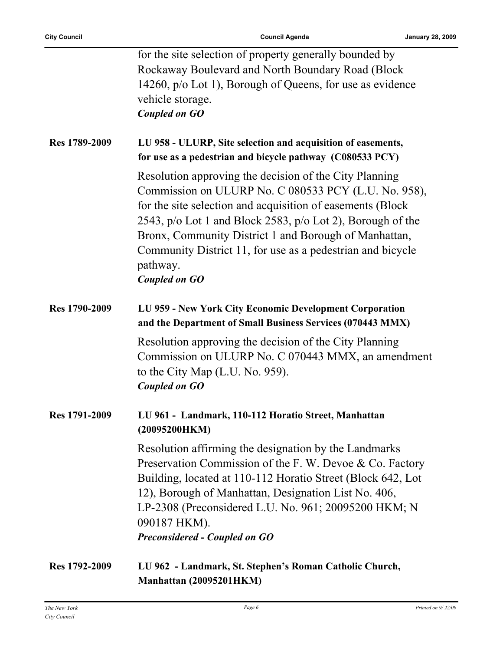|               | for the site selection of property generally bounded by<br>Rockaway Boulevard and North Boundary Road (Block<br>14260, p/o Lot 1), Borough of Queens, for use as evidence<br>vehicle storage.<br><b>Coupled on GO</b>                                                                                                                                                                                 |
|---------------|-------------------------------------------------------------------------------------------------------------------------------------------------------------------------------------------------------------------------------------------------------------------------------------------------------------------------------------------------------------------------------------------------------|
| Res 1789-2009 | LU 958 - ULURP, Site selection and acquisition of easements,<br>for use as a pedestrian and bicycle pathway (C080533 PCY)                                                                                                                                                                                                                                                                             |
|               | Resolution approving the decision of the City Planning<br>Commission on ULURP No. C 080533 PCY (L.U. No. 958),<br>for the site selection and acquisition of easements (Block<br>2543, p/o Lot 1 and Block 2583, p/o Lot 2), Borough of the<br>Bronx, Community District 1 and Borough of Manhattan,<br>Community District 11, for use as a pedestrian and bicycle<br>pathway.<br><b>Coupled on GO</b> |
| Res 1790-2009 | LU 959 - New York City Economic Development Corporation<br>and the Department of Small Business Services (070443 MMX)                                                                                                                                                                                                                                                                                 |
|               | Resolution approving the decision of the City Planning<br>Commission on ULURP No. C 070443 MMX, an amendment<br>to the City Map $(L.U. No. 959)$ .<br><b>Coupled on GO</b>                                                                                                                                                                                                                            |
| Res 1791-2009 | LU 961 - Landmark, 110-112 Horatio Street, Manhattan<br>(20095200HKM)                                                                                                                                                                                                                                                                                                                                 |
|               | Resolution affirming the designation by the Landmarks<br>Preservation Commission of the F. W. Devoe & Co. Factory<br>Building, located at 110-112 Horatio Street (Block 642, Lot<br>12), Borough of Manhattan, Designation List No. 406,<br>LP-2308 (Preconsidered L.U. No. 961; 20095200 HKM; N<br>090187 HKM).<br><b>Preconsidered - Coupled on GO</b>                                              |
| Res 1792-2009 | LU 962 - Landmark, St. Stephen's Roman Catholic Church,<br>Manhattan (20095201HKM)                                                                                                                                                                                                                                                                                                                    |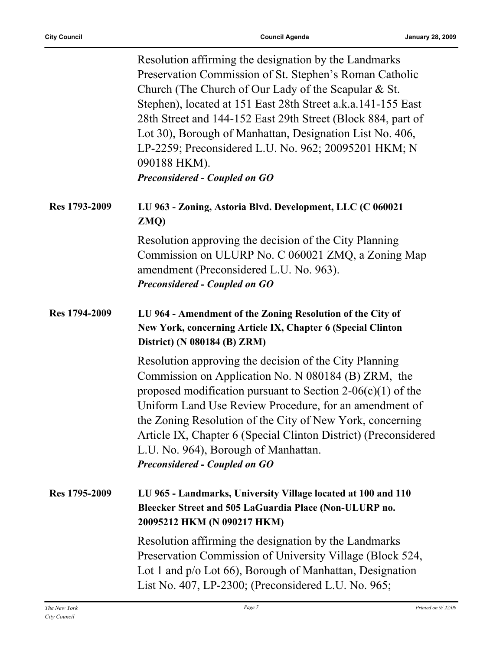|               | Resolution affirming the designation by the Landmarks<br>Preservation Commission of St. Stephen's Roman Catholic<br>Church (The Church of Our Lady of the Scapular & St.<br>Stephen), located at 151 East 28th Street a.k.a.141-155 East<br>28th Street and 144-152 East 29th Street (Block 884, part of<br>Lot 30), Borough of Manhattan, Designation List No. 406,<br>LP-2259; Preconsidered L.U. No. 962; 20095201 HKM; N<br>090188 HKM).<br><b>Preconsidered - Coupled on GO</b> |
|---------------|--------------------------------------------------------------------------------------------------------------------------------------------------------------------------------------------------------------------------------------------------------------------------------------------------------------------------------------------------------------------------------------------------------------------------------------------------------------------------------------|
| Res 1793-2009 | LU 963 - Zoning, Astoria Blvd. Development, LLC (C 060021<br>ZMQ)                                                                                                                                                                                                                                                                                                                                                                                                                    |
|               | Resolution approving the decision of the City Planning<br>Commission on ULURP No. C 060021 ZMQ, a Zoning Map<br>amendment (Preconsidered L.U. No. 963).<br><b>Preconsidered - Coupled on GO</b>                                                                                                                                                                                                                                                                                      |
| Res 1794-2009 | LU 964 - Amendment of the Zoning Resolution of the City of<br>New York, concerning Article IX, Chapter 6 (Special Clinton<br>District) (N 080184 (B) ZRM)                                                                                                                                                                                                                                                                                                                            |
|               | Resolution approving the decision of the City Planning<br>Commission on Application No. N 080184 (B) ZRM, the<br>proposed modification pursuant to Section 2-06(c)(1) of the<br>Uniform Land Use Review Procedure, for an amendment of<br>the Zoning Resolution of the City of New York, concerning<br>Article IX, Chapter 6 (Special Clinton District) (Preconsidered<br>L.U. No. 964), Borough of Manhattan.<br><b>Preconsidered - Coupled on GO</b>                               |
| Res 1795-2009 | LU 965 - Landmarks, University Village located at 100 and 110<br>Bleecker Street and 505 LaGuardia Place (Non-ULURP no.<br>20095212 HKM (N 090217 HKM)                                                                                                                                                                                                                                                                                                                               |
|               | Resolution affirming the designation by the Landmarks<br>Preservation Commission of University Village (Block 524,<br>Lot 1 and p/o Lot 66), Borough of Manhattan, Designation<br>List No. 407, LP-2300; (Preconsidered L.U. No. 965;                                                                                                                                                                                                                                                |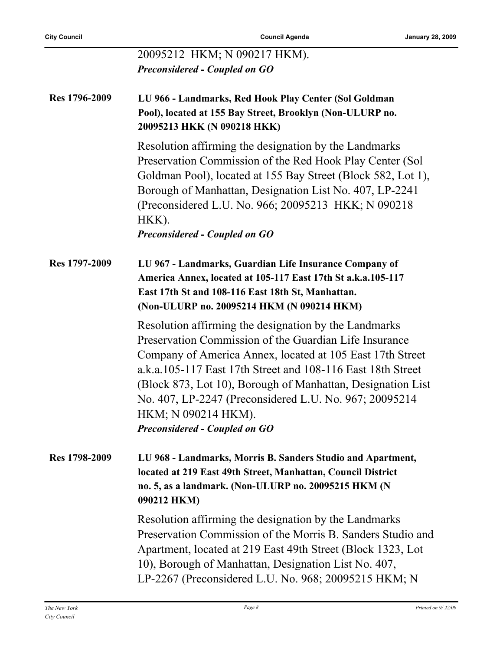|               | 20095212 HKM; N 090217 HKM).<br><b>Preconsidered - Coupled on GO</b>                                                                                                                                                                                                                                                                                                                                                                |
|---------------|-------------------------------------------------------------------------------------------------------------------------------------------------------------------------------------------------------------------------------------------------------------------------------------------------------------------------------------------------------------------------------------------------------------------------------------|
|               |                                                                                                                                                                                                                                                                                                                                                                                                                                     |
| Res 1796-2009 | LU 966 - Landmarks, Red Hook Play Center (Sol Goldman<br>Pool), located at 155 Bay Street, Brooklyn (Non-ULURP no.<br>20095213 HKK (N 090218 HKK)                                                                                                                                                                                                                                                                                   |
|               | Resolution affirming the designation by the Landmarks<br>Preservation Commission of the Red Hook Play Center (Sol<br>Goldman Pool), located at 155 Bay Street (Block 582, Lot 1),<br>Borough of Manhattan, Designation List No. 407, LP-2241<br>(Preconsidered L.U. No. 966; 20095213 HKK; N 090218)<br>HKK).<br><b>Preconsidered - Coupled on GO</b>                                                                               |
| Res 1797-2009 | LU 967 - Landmarks, Guardian Life Insurance Company of<br>America Annex, located at 105-117 East 17th St a.k.a.105-117<br>East 17th St and 108-116 East 18th St, Manhattan.<br>(Non-ULURP no. 20095214 HKM (N 090214 HKM)                                                                                                                                                                                                           |
|               | Resolution affirming the designation by the Landmarks<br>Preservation Commission of the Guardian Life Insurance<br>Company of America Annex, located at 105 East 17th Street<br>a.k.a.105-117 East 17th Street and 108-116 East 18th Street<br>(Block 873, Lot 10), Borough of Manhattan, Designation List<br>No. 407, LP-2247 (Preconsidered L.U. No. 967; 20095214<br>HKM; N 090214 HKM).<br><b>Preconsidered - Coupled on GO</b> |
| Res 1798-2009 | LU 968 - Landmarks, Morris B. Sanders Studio and Apartment,<br>located at 219 East 49th Street, Manhattan, Council District<br>no. 5, as a landmark. (Non-ULURP no. 20095215 HKM (N<br>090212 HKM)                                                                                                                                                                                                                                  |
|               | Resolution affirming the designation by the Landmarks<br>Preservation Commission of the Morris B. Sanders Studio and<br>Apartment, located at 219 East 49th Street (Block 1323, Lot<br>10), Borough of Manhattan, Designation List No. 407,<br>LP-2267 (Preconsidered L.U. No. 968; 20095215 HKM; N                                                                                                                                 |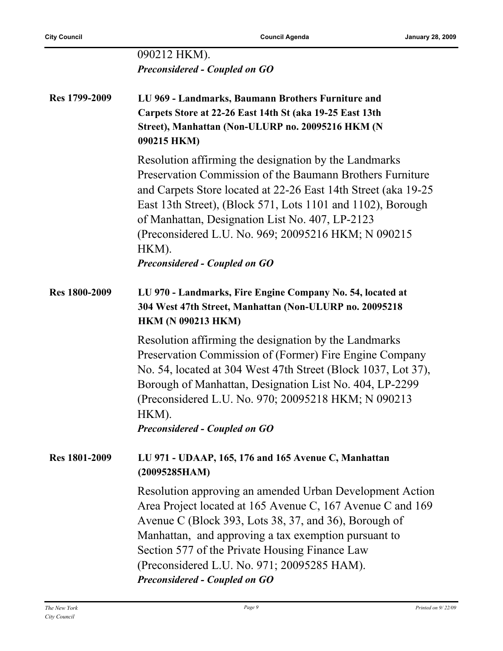|                      | 090212 HKM).                                                                                                                                                                                                                                                                                                                                                                     |
|----------------------|----------------------------------------------------------------------------------------------------------------------------------------------------------------------------------------------------------------------------------------------------------------------------------------------------------------------------------------------------------------------------------|
|                      | <b>Preconsidered - Coupled on GO</b>                                                                                                                                                                                                                                                                                                                                             |
|                      |                                                                                                                                                                                                                                                                                                                                                                                  |
| Res 1799-2009        | LU 969 - Landmarks, Baumann Brothers Furniture and<br>Carpets Store at 22-26 East 14th St (aka 19-25 East 13th<br>Street), Manhattan (Non-ULURP no. 20095216 HKM (N<br>090215 HKM)                                                                                                                                                                                               |
|                      | Resolution affirming the designation by the Landmarks<br>Preservation Commission of the Baumann Brothers Furniture<br>and Carpets Store located at 22-26 East 14th Street (aka 19-25<br>East 13th Street), (Block 571, Lots 1101 and 1102), Borough<br>of Manhattan, Designation List No. 407, LP-2123<br>(Preconsidered L.U. No. 969; 20095216 HKM; N 090215)<br>HKM).          |
|                      | <b>Preconsidered - Coupled on GO</b>                                                                                                                                                                                                                                                                                                                                             |
|                      |                                                                                                                                                                                                                                                                                                                                                                                  |
| <b>Res 1800-2009</b> | LU 970 - Landmarks, Fire Engine Company No. 54, located at<br>304 West 47th Street, Manhattan (Non-ULURP no. 20095218<br><b>HKM (N 090213 HKM)</b>                                                                                                                                                                                                                               |
|                      | Resolution affirming the designation by the Landmarks<br>Preservation Commission of (Former) Fire Engine Company<br>No. 54, located at 304 West 47th Street (Block 1037, Lot 37),<br>Borough of Manhattan, Designation List No. 404, LP-2299<br>(Preconsidered L.U. No. 970; 20095218 HKM; N 090213)<br>HKM).                                                                    |
|                      | <b>Preconsidered - Coupled on GO</b>                                                                                                                                                                                                                                                                                                                                             |
| <b>Res 1801-2009</b> | LU 971 - UDAAP, 165, 176 and 165 Avenue C, Manhattan<br>(20095285HAM)                                                                                                                                                                                                                                                                                                            |
|                      | Resolution approving an amended Urban Development Action<br>Area Project located at 165 Avenue C, 167 Avenue C and 169<br>Avenue C (Block 393, Lots 38, 37, and 36), Borough of<br>Manhattan, and approving a tax exemption pursuant to<br>Section 577 of the Private Housing Finance Law<br>(Preconsidered L.U. No. 971; 20095285 HAM).<br><b>Preconsidered - Coupled on GO</b> |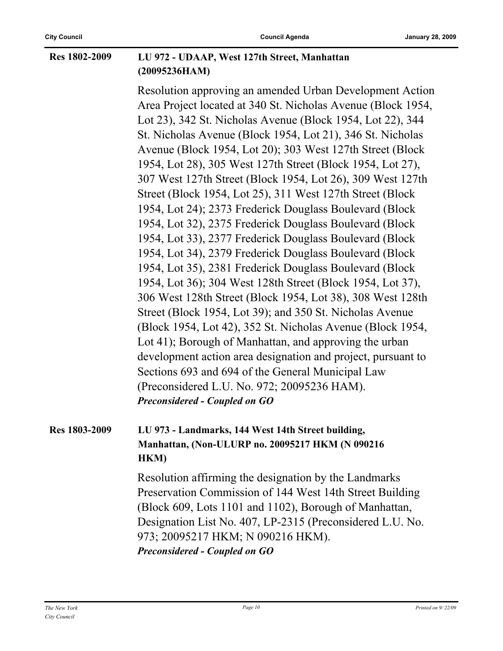#### **Res 1802-2009 LU 972 - UDAAP, West 127th Street, Manhattan (20095236HAM)**

Resolution approving an amended Urban Development Action Area Project located at 340 St. Nicholas Avenue (Block 1954, Lot 23), 342 St. Nicholas Avenue (Block 1954, Lot 22), 344 St. Nicholas Avenue (Block 1954, Lot 21), 346 St. Nicholas Avenue (Block 1954, Lot 20); 303 West 127th Street (Block 1954, Lot 28), 305 West 127th Street (Block 1954, Lot 27), 307 West 127th Street (Block 1954, Lot 26), 309 West 127th Street (Block 1954, Lot 25), 311 West 127th Street (Block 1954, Lot 24); 2373 Frederick Douglass Boulevard (Block 1954, Lot 32), 2375 Frederick Douglass Boulevard (Block 1954, Lot 33), 2377 Frederick Douglass Boulevard (Block 1954, Lot 34), 2379 Frederick Douglass Boulevard (Block 1954, Lot 35), 2381 Frederick Douglass Boulevard (Block 1954, Lot 36); 304 West 128th Street (Block 1954, Lot 37), 306 West 128th Street (Block 1954, Lot 38), 308 West 128th Street (Block 1954, Lot 39); and 350 St. Nicholas Avenue (Block 1954, Lot 42), 352 St. Nicholas Avenue (Block 1954, Lot 41); Borough of Manhattan, and approving the urban development action area designation and project, pursuant to Sections 693 and 694 of the General Municipal Law (Preconsidered L.U. No. 972; 20095236 HAM). *Preconsidered - Coupled on GO*

#### **Res 1803-2009 LU 973 - Landmarks, 144 West 14th Street building, Manhattan, (Non-ULURP no. 20095217 HKM (N 090216 HKM)**

Resolution affirming the designation by the Landmarks Preservation Commission of 144 West 14th Street Building (Block 609, Lots 1101 and 1102), Borough of Manhattan, Designation List No. 407, LP-2315 (Preconsidered L.U. No. 973; 20095217 HKM; N 090216 HKM). *Preconsidered - Coupled on GO*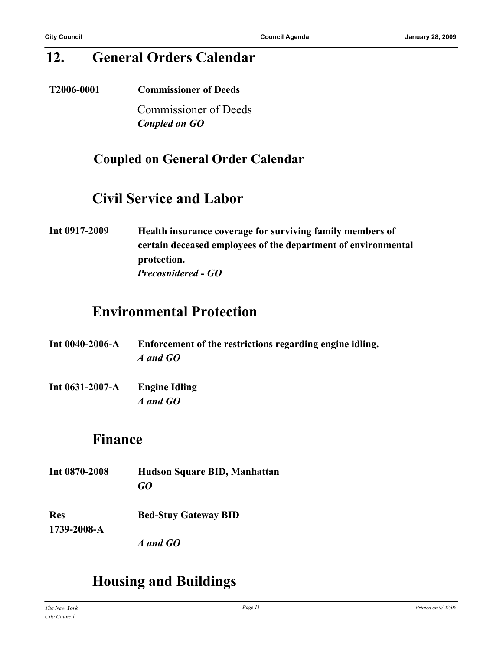## **12. General Orders Calendar**

**T2006-0001 Commissioner of Deeds** Commissioner of Deeds *Coupled on GO*

### **Coupled on General Order Calendar**

### **Civil Service and Labor**

**Int 0917-2009 Health insurance coverage for surviving family members of certain deceased employees of the department of environmental protection.** *Precosnidered - GO*

## **Environmental Protection**

- **Int 0040-2006-A Enforcement of the restrictions regarding engine idling.** *A and GO*
- **Int 0631-2007-A Engine Idling** *A and GO*

### **Finance**

**Int 0870-2008 Hudson Square BID, Manhattan** *GO* **Res 1739-2008-A Bed-Stuy Gateway BID**

*A and GO*

# **Housing and Buildings**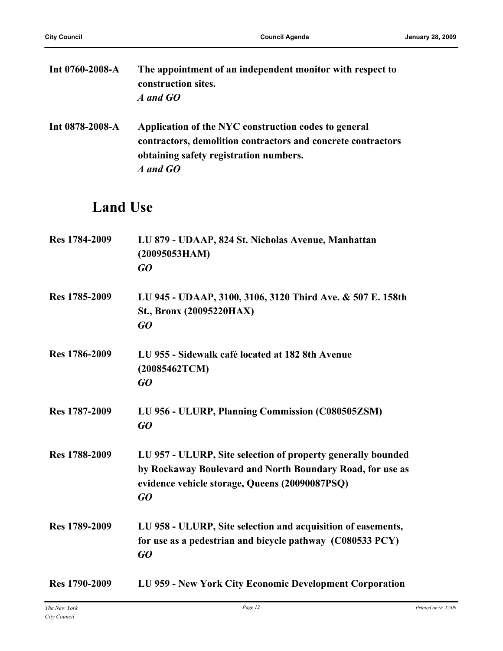| Int $0760 - 2008 - A$ | The appointment of an independent monitor with respect to<br>construction sites.<br>A and GO                                                                               |
|-----------------------|----------------------------------------------------------------------------------------------------------------------------------------------------------------------------|
| Int 0878-2008-A       | Application of the NYC construction codes to general<br>contractors, demolition contractors and concrete contractors<br>obtaining safety registration numbers.<br>A and GO |

# **Land Use**

| Res 1784-2009 | LU 879 - UDAAP, 824 St. Nicholas Avenue, Manhattan<br>(20095053HAM)<br>GO                                                                                                         |
|---------------|-----------------------------------------------------------------------------------------------------------------------------------------------------------------------------------|
| Res 1785-2009 | LU 945 - UDAAP, 3100, 3106, 3120 Third Ave. & 507 E. 158th<br>St., Bronx (20095220HAX)<br>GQ                                                                                      |
| Res 1786-2009 | LU 955 - Sidewalk café located at 182 8th Avenue<br>(20085462TCM)<br>GQ                                                                                                           |
| Res 1787-2009 | LU 956 - ULURP, Planning Commission (C080505ZSM)<br>GQ                                                                                                                            |
| Res 1788-2009 | LU 957 - ULURP, Site selection of property generally bounded<br>by Rockaway Boulevard and North Boundary Road, for use as<br>evidence vehicle storage, Queens (20090087PSQ)<br>GO |
| Res 1789-2009 | LU 958 - ULURP, Site selection and acquisition of easements,<br>for use as a pedestrian and bicycle pathway (C080533 PCY)<br>GO                                                   |
| Res 1790-2009 | LU 959 - New York City Economic Development Corporation                                                                                                                           |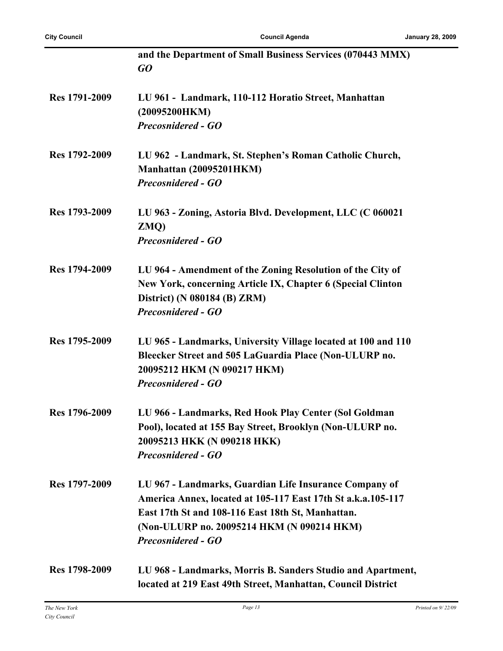|               | and the Department of Small Business Services (070443 MMX)<br>GO                                   |
|---------------|----------------------------------------------------------------------------------------------------|
| Res 1791-2009 | LU 961 - Landmark, 110-112 Horatio Street, Manhattan<br>(20095200HKM)<br><b>Precosnidered - GO</b> |
|               |                                                                                                    |
| Res 1792-2009 | LU 962 - Landmark, St. Stephen's Roman Catholic Church,                                            |
|               | Manhattan (20095201HKM)<br><b>Precosnidered - GO</b>                                               |
| Res 1793-2009 | LU 963 - Zoning, Astoria Blvd. Development, LLC (C 060021                                          |
|               | ZMQ)<br><b>Precosnidered - GO</b>                                                                  |
| Res 1794-2009 | LU 964 - Amendment of the Zoning Resolution of the City of                                         |
|               | New York, concerning Article IX, Chapter 6 (Special Clinton                                        |
|               | District) (N 080184 (B) ZRM)<br><b>Precosnidered - GO</b>                                          |
|               |                                                                                                    |
| Res 1795-2009 | LU 965 - Landmarks, University Village located at 100 and 110                                      |
|               | Bleecker Street and 505 LaGuardia Place (Non-ULURP no.<br>20095212 HKM (N 090217 HKM)              |
|               | <b>Precosnidered - GO</b>                                                                          |
| Res 1796-2009 | LU 966 - Landmarks, Red Hook Play Center (Sol Goldman                                              |
|               | Pool), located at 155 Bay Street, Brooklyn (Non-ULURP no.                                          |
|               | 20095213 HKK (N 090218 HKK)<br><b>Precosnidered - GO</b>                                           |
| Res 1797-2009 | LU 967 - Landmarks, Guardian Life Insurance Company of                                             |
|               | America Annex, located at 105-117 East 17th St a.k.a.105-117                                       |
|               | East 17th St and 108-116 East 18th St, Manhattan.                                                  |
|               | (Non-ULURP no. 20095214 HKM (N 090214 HKM)<br><b>Precosnidered - GO</b>                            |
| Res 1798-2009 | LU 968 - Landmarks, Morris B. Sanders Studio and Apartment,                                        |
|               | located at 219 East 49th Street, Manhattan, Council District                                       |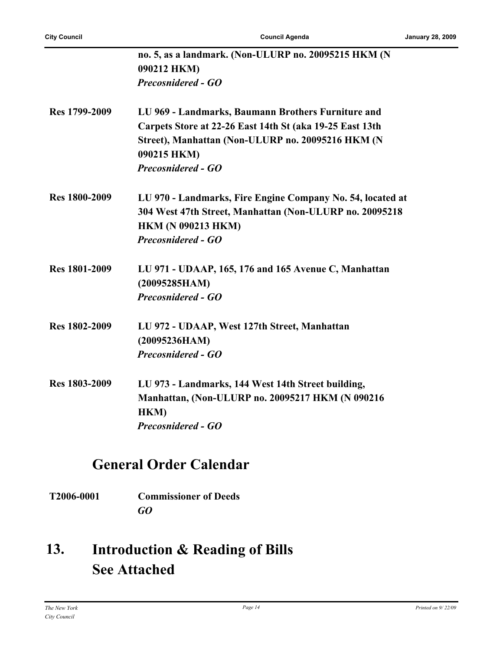|                      | no. 5, as a landmark. (Non-ULURP no. 20095215 HKM (N<br>090212 HKM)<br><b>Precosnidered - GO</b> |
|----------------------|--------------------------------------------------------------------------------------------------|
|                      |                                                                                                  |
| Res 1799-2009        | LU 969 - Landmarks, Baumann Brothers Furniture and                                               |
|                      | Carpets Store at 22-26 East 14th St (aka 19-25 East 13th                                         |
|                      | Street), Manhattan (Non-ULURP no. 20095216 HKM (N<br>090215 HKM)                                 |
|                      | <b>Precosnidered - GO</b>                                                                        |
| <b>Res 1800-2009</b> | LU 970 - Landmarks, Fire Engine Company No. 54, located at                                       |
|                      | 304 West 47th Street, Manhattan (Non-ULURP no. 20095218                                          |
|                      | <b>HKM (N 090213 HKM)</b>                                                                        |
|                      | <b>Precosnidered - GO</b>                                                                        |
| <b>Res 1801-2009</b> | LU 971 - UDAAP, 165, 176 and 165 Avenue C, Manhattan                                             |
|                      | (20095285HAM)                                                                                    |
|                      | <b>Precosnidered - GO</b>                                                                        |
| <b>Res 1802-2009</b> | LU 972 - UDAAP, West 127th Street, Manhattan                                                     |
|                      | (20095236HAM)                                                                                    |
|                      | <b>Precosnidered - GO</b>                                                                        |
| Res 1803-2009        | LU 973 - Landmarks, 144 West 14th Street building,                                               |
|                      | Manhattan, (Non-ULURP no. 20095217 HKM (N 090216                                                 |
|                      | HKM)                                                                                             |
|                      | <b>Precosnidered - GO</b>                                                                        |

# **General Order Calendar**

**T2006-0001 Commissioner of Deeds** *GO*

#### **Introduction & Reading of Bills See Attached 13.**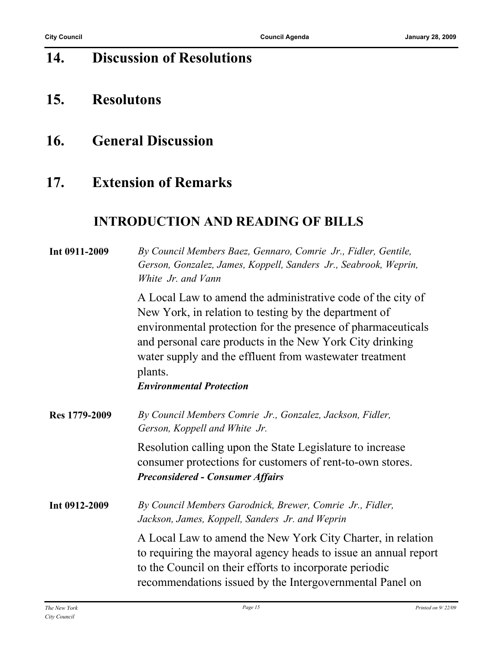# **14. Discussion of Resolutions**

- **15. Resolutons**
- **16. General Discussion**

### **17. Extension of Remarks**

### **INTRODUCTION AND READING OF BILLS**

| Int 0911-2009 | By Council Members Baez, Gennaro, Comrie Jr., Fidler, Gentile,<br>Gerson, Gonzalez, James, Koppell, Sanders Jr., Seabrook, Weprin,<br>White Jr. and Vann                                                                                                                                                               |
|---------------|------------------------------------------------------------------------------------------------------------------------------------------------------------------------------------------------------------------------------------------------------------------------------------------------------------------------|
|               | A Local Law to amend the administrative code of the city of<br>New York, in relation to testing by the department of<br>environmental protection for the presence of pharmaceuticals<br>and personal care products in the New York City drinking<br>water supply and the effluent from wastewater treatment<br>plants. |
|               | <b>Environmental Protection</b>                                                                                                                                                                                                                                                                                        |
| Res 1779-2009 | By Council Members Comrie Jr., Gonzalez, Jackson, Fidler,<br>Gerson, Koppell and White Jr.                                                                                                                                                                                                                             |
|               | Resolution calling upon the State Legislature to increase<br>consumer protections for customers of rent-to-own stores.<br><b>Preconsidered - Consumer Affairs</b>                                                                                                                                                      |
| Int 0912-2009 | By Council Members Garodnick, Brewer, Comrie Jr., Fidler,<br>Jackson, James, Koppell, Sanders Jr. and Weprin                                                                                                                                                                                                           |
|               | A Local Law to amend the New York City Charter, in relation<br>to requiring the mayoral agency heads to issue an annual report<br>to the Council on their efforts to incorporate periodic<br>recommendations issued by the Intergovernmental Panel on                                                                  |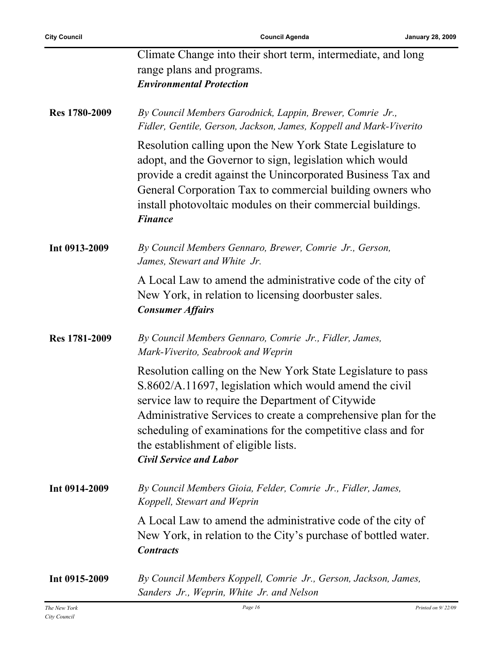|               | Climate Change into their short term, intermediate, and long<br>range plans and programs.<br><b>Environmental Protection</b>                                                                                                                                                                                                                                                             |
|---------------|------------------------------------------------------------------------------------------------------------------------------------------------------------------------------------------------------------------------------------------------------------------------------------------------------------------------------------------------------------------------------------------|
| Res 1780-2009 | By Council Members Garodnick, Lappin, Brewer, Comrie Jr.,<br>Fidler, Gentile, Gerson, Jackson, James, Koppell and Mark-Viverito                                                                                                                                                                                                                                                          |
|               | Resolution calling upon the New York State Legislature to<br>adopt, and the Governor to sign, legislation which would<br>provide a credit against the Unincorporated Business Tax and<br>General Corporation Tax to commercial building owners who<br>install photovoltaic modules on their commercial buildings.<br><b>Finance</b>                                                      |
| Int 0913-2009 | By Council Members Gennaro, Brewer, Comrie Jr., Gerson,<br>James, Stewart and White Jr.                                                                                                                                                                                                                                                                                                  |
|               | A Local Law to amend the administrative code of the city of<br>New York, in relation to licensing doorbuster sales.<br><b>Consumer Affairs</b>                                                                                                                                                                                                                                           |
| Res 1781-2009 | By Council Members Gennaro, Comrie Jr., Fidler, James,<br>Mark-Viverito, Seabrook and Weprin                                                                                                                                                                                                                                                                                             |
|               | Resolution calling on the New York State Legislature to pass<br>S.8602/A.11697, legislation which would amend the civil<br>service law to require the Department of Citywide<br>Administrative Services to create a comprehensive plan for the<br>scheduling of examinations for the competitive class and for<br>the establishment of eligible lists.<br><b>Civil Service and Labor</b> |
| Int 0914-2009 | By Council Members Gioia, Felder, Comrie Jr., Fidler, James,<br>Koppell, Stewart and Weprin                                                                                                                                                                                                                                                                                              |
|               | A Local Law to amend the administrative code of the city of<br>New York, in relation to the City's purchase of bottled water.<br><b>Contracts</b>                                                                                                                                                                                                                                        |
| Int 0915-2009 | By Council Members Koppell, Comrie Jr., Gerson, Jackson, James,<br>Sanders Jr., Weprin, White Jr. and Nelson                                                                                                                                                                                                                                                                             |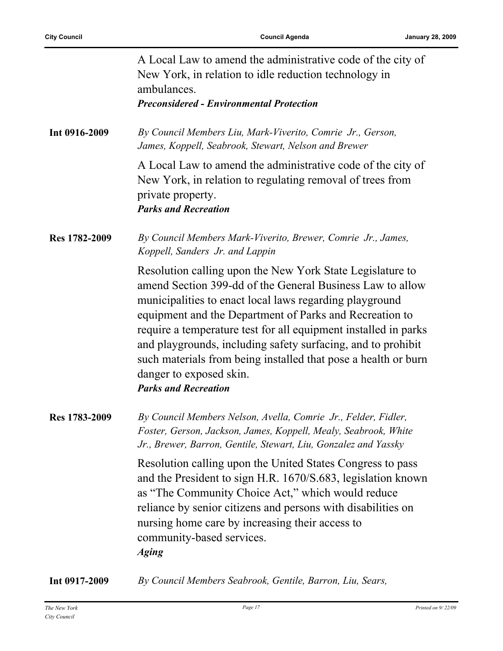|               | A Local Law to amend the administrative code of the city of<br>New York, in relation to idle reduction technology in<br>ambulances.<br><b>Preconsidered - Environmental Protection</b>                                                                                                                                                                                                                                                                                                                      |
|---------------|-------------------------------------------------------------------------------------------------------------------------------------------------------------------------------------------------------------------------------------------------------------------------------------------------------------------------------------------------------------------------------------------------------------------------------------------------------------------------------------------------------------|
| Int 0916-2009 | By Council Members Liu, Mark-Viverito, Comrie Jr., Gerson,<br>James, Koppell, Seabrook, Stewart, Nelson and Brewer                                                                                                                                                                                                                                                                                                                                                                                          |
|               | A Local Law to amend the administrative code of the city of<br>New York, in relation to regulating removal of trees from<br>private property.<br><b>Parks and Recreation</b>                                                                                                                                                                                                                                                                                                                                |
| Res 1782-2009 | By Council Members Mark-Viverito, Brewer, Comrie Jr., James,<br>Koppell, Sanders Jr. and Lappin                                                                                                                                                                                                                                                                                                                                                                                                             |
|               | Resolution calling upon the New York State Legislature to<br>amend Section 399-dd of the General Business Law to allow<br>municipalities to enact local laws regarding playground<br>equipment and the Department of Parks and Recreation to<br>require a temperature test for all equipment installed in parks<br>and playgrounds, including safety surfacing, and to prohibit<br>such materials from being installed that pose a health or burn<br>danger to exposed skin.<br><b>Parks and Recreation</b> |
| Res 1783-2009 | By Council Members Nelson, Avella, Comrie Jr., Felder, Fidler,<br>Foster, Gerson, Jackson, James, Koppell, Mealy, Seabrook, White<br>Jr., Brewer, Barron, Gentile, Stewart, Liu, Gonzalez and Yassky                                                                                                                                                                                                                                                                                                        |
|               | Resolution calling upon the United States Congress to pass<br>and the President to sign H.R. 1670/S.683, legislation known<br>as "The Community Choice Act," which would reduce<br>reliance by senior citizens and persons with disabilities on<br>nursing home care by increasing their access to<br>community-based services.<br><b>Aging</b>                                                                                                                                                             |

**Int 0917-2009** *By Council Members Seabrook, Gentile, Barron, Liu, Sears,*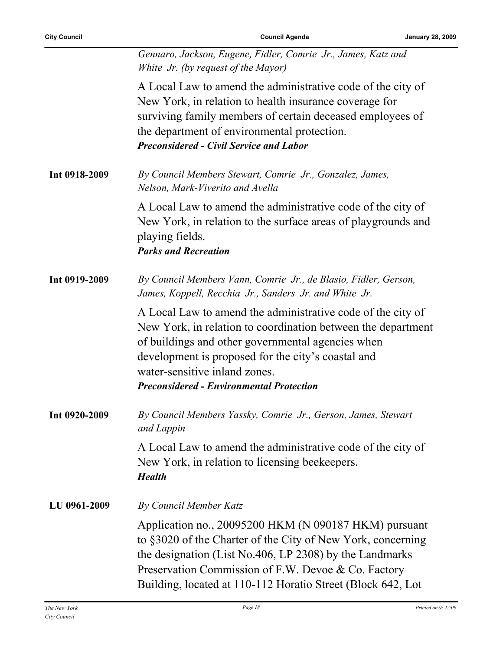|               | Gennaro, Jackson, Eugene, Fidler, Comrie Jr., James, Katz and<br>White Jr. (by request of the Mayor)                                                                                                                                                                                                                       |
|---------------|----------------------------------------------------------------------------------------------------------------------------------------------------------------------------------------------------------------------------------------------------------------------------------------------------------------------------|
|               | A Local Law to amend the administrative code of the city of<br>New York, in relation to health insurance coverage for<br>surviving family members of certain deceased employees of<br>the department of environmental protection.<br><b>Preconsidered - Civil Service and Labor</b>                                        |
| Int 0918-2009 | By Council Members Stewart, Comrie Jr., Gonzalez, James,<br>Nelson, Mark-Viverito and Avella                                                                                                                                                                                                                               |
|               | A Local Law to amend the administrative code of the city of<br>New York, in relation to the surface areas of playgrounds and<br>playing fields.<br><b>Parks and Recreation</b>                                                                                                                                             |
| Int 0919-2009 | By Council Members Vann, Comrie Jr., de Blasio, Fidler, Gerson,<br>James, Koppell, Recchia Jr., Sanders Jr. and White Jr.                                                                                                                                                                                                  |
|               | A Local Law to amend the administrative code of the city of<br>New York, in relation to coordination between the department<br>of buildings and other governmental agencies when<br>development is proposed for the city's coastal and<br>water-sensitive inland zones.<br><b>Preconsidered - Environmental Protection</b> |
| Int 0920-2009 | By Council Members Yassky, Comrie Jr., Gerson, James, Stewart<br>and Lappin                                                                                                                                                                                                                                                |
|               | A Local Law to amend the administrative code of the city of<br>New York, in relation to licensing beekeepers.<br><b>Health</b>                                                                                                                                                                                             |
| LU 0961-2009  | <b>By Council Member Katz</b>                                                                                                                                                                                                                                                                                              |
|               | Application no., 20095200 HKM (N 090187 HKM) pursuant<br>to §3020 of the Charter of the City of New York, concerning<br>the designation (List No.406, LP 2308) by the Landmarks<br>Preservation Commission of F.W. Devoe & Co. Factory<br>Building, located at 110-112 Horatio Street (Block 642, Lot                      |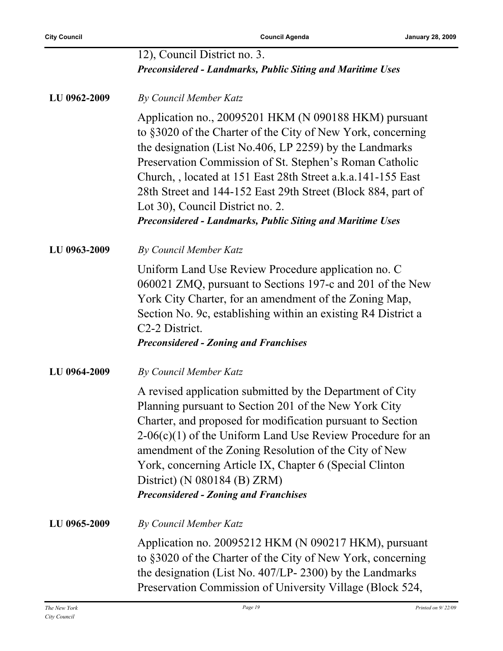|              | 12), Council District no. 3.<br><b>Preconsidered - Landmarks, Public Siting and Maritime Uses</b>                                                                                                                                                                                                                                                                                                                                                                                 |
|--------------|-----------------------------------------------------------------------------------------------------------------------------------------------------------------------------------------------------------------------------------------------------------------------------------------------------------------------------------------------------------------------------------------------------------------------------------------------------------------------------------|
|              |                                                                                                                                                                                                                                                                                                                                                                                                                                                                                   |
| LU 0962-2009 | By Council Member Katz                                                                                                                                                                                                                                                                                                                                                                                                                                                            |
|              | Application no., 20095201 HKM (N 090188 HKM) pursuant<br>to §3020 of the Charter of the City of New York, concerning<br>the designation (List No.406, LP 2259) by the Landmarks<br>Preservation Commission of St. Stephen's Roman Catholic<br>Church, located at 151 East 28th Street a.k.a.141-155 East<br>28th Street and 144-152 East 29th Street (Block 884, part of<br>Lot 30), Council District no. 2.<br><b>Preconsidered - Landmarks, Public Siting and Maritime Uses</b> |
| LU 0963-2009 | <b>By Council Member Katz</b>                                                                                                                                                                                                                                                                                                                                                                                                                                                     |
|              | Uniform Land Use Review Procedure application no. C<br>060021 ZMQ, pursuant to Sections 197-c and 201 of the New<br>York City Charter, for an amendment of the Zoning Map,<br>Section No. 9c, establishing within an existing R4 District a<br>C <sub>2</sub> -2 District.<br><b>Preconsidered - Zoning and Franchises</b>                                                                                                                                                        |
| LU 0964-2009 | <b>By Council Member Katz</b>                                                                                                                                                                                                                                                                                                                                                                                                                                                     |
|              | A revised application submitted by the Department of City<br>Planning pursuant to Section 201 of the New York City<br>Charter, and proposed for modification pursuant to Section<br>$2\n-06(c)(1)$ of the Uniform Land Use Review Procedure for an<br>amendment of the Zoning Resolution of the City of New<br>York, concerning Article IX, Chapter 6 (Special Clinton<br>District) (N 080184 (B) ZRM)<br><b>Preconsidered - Zoning and Franchises</b>                            |
| LU 0965-2009 | By Council Member Katz                                                                                                                                                                                                                                                                                                                                                                                                                                                            |
|              | Application no. 20095212 HKM (N 090217 HKM), pursuant<br>to §3020 of the Charter of the City of New York, concerning<br>the designation (List No. 407/LP-2300) by the Landmarks<br>Preservation Commission of University Village (Block 524,                                                                                                                                                                                                                                      |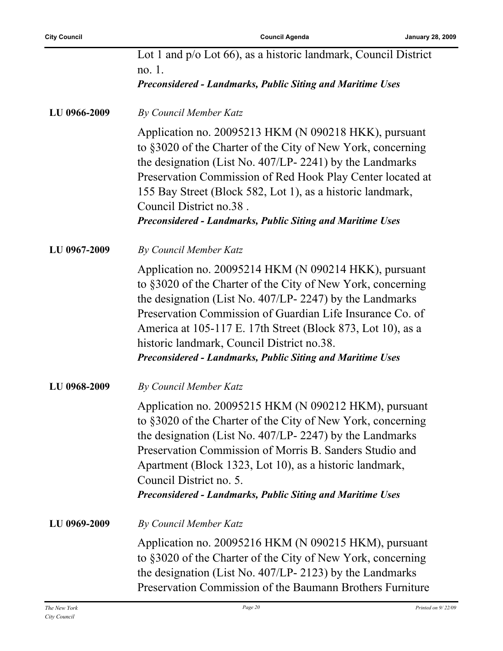|              | Lot 1 and p/o Lot 66), as a historic landmark, Council District<br>no. 1.<br><b>Preconsidered - Landmarks, Public Siting and Maritime Uses</b>                                                                                                                                                                                                                                                                          |
|--------------|-------------------------------------------------------------------------------------------------------------------------------------------------------------------------------------------------------------------------------------------------------------------------------------------------------------------------------------------------------------------------------------------------------------------------|
| LU 0966-2009 | By Council Member Katz                                                                                                                                                                                                                                                                                                                                                                                                  |
|              | Application no. 20095213 HKM (N 090218 HKK), pursuant<br>to §3020 of the Charter of the City of New York, concerning<br>the designation (List No. 407/LP-2241) by the Landmarks<br>Preservation Commission of Red Hook Play Center located at<br>155 Bay Street (Block 582, Lot 1), as a historic landmark,<br>Council District no.38.<br><b>Preconsidered - Landmarks, Public Siting and Maritime Uses</b>             |
| LU 0967-2009 | By Council Member Katz                                                                                                                                                                                                                                                                                                                                                                                                  |
|              | Application no. 20095214 HKM (N 090214 HKK), pursuant<br>to §3020 of the Charter of the City of New York, concerning<br>the designation (List No. 407/LP-2247) by the Landmarks<br>Preservation Commission of Guardian Life Insurance Co. of<br>America at 105-117 E. 17th Street (Block 873, Lot 10), as a<br>historic landmark, Council District no.38.<br>Preconsidered - Landmarks, Public Siting and Maritime Uses |
| LU 0968-2009 | By Council Member Katz                                                                                                                                                                                                                                                                                                                                                                                                  |
|              | Application no. 20095215 HKM (N 090212 HKM), pursuant<br>to §3020 of the Charter of the City of New York, concerning<br>the designation (List No. 407/LP-2247) by the Landmarks<br>Preservation Commission of Morris B. Sanders Studio and<br>Apartment (Block 1323, Lot 10), as a historic landmark,<br>Council District no. 5.<br><b>Preconsidered - Landmarks, Public Siting and Maritime Uses</b>                   |
| LU 0969-2009 | By Council Member Katz                                                                                                                                                                                                                                                                                                                                                                                                  |
|              | Application no. 20095216 HKM (N 090215 HKM), pursuant<br>to §3020 of the Charter of the City of New York, concerning<br>the designation (List No. 407/LP-2123) by the Landmarks<br>Preservation Commission of the Baumann Brothers Furniture                                                                                                                                                                            |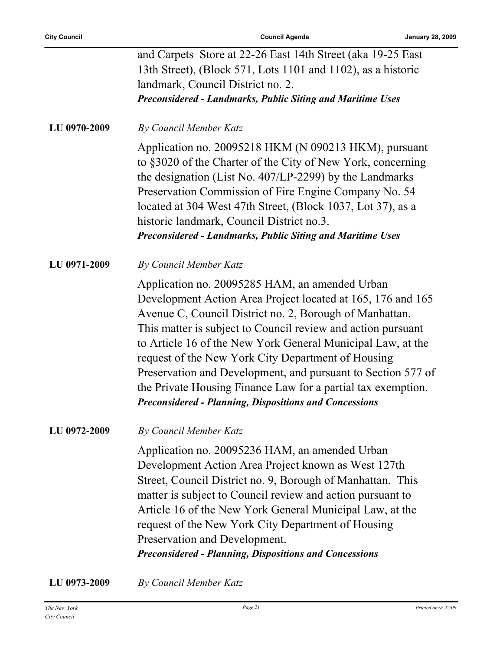|              | and Carpets Store at 22-26 East 14th Street (aka 19-25 East                                                                                                                                                                                                                                                                                                                                                                                                                                                                                                    |
|--------------|----------------------------------------------------------------------------------------------------------------------------------------------------------------------------------------------------------------------------------------------------------------------------------------------------------------------------------------------------------------------------------------------------------------------------------------------------------------------------------------------------------------------------------------------------------------|
|              | 13th Street), (Block 571, Lots 1101 and 1102), as a historic                                                                                                                                                                                                                                                                                                                                                                                                                                                                                                   |
|              | landmark, Council District no. 2.                                                                                                                                                                                                                                                                                                                                                                                                                                                                                                                              |
|              | <b>Preconsidered - Landmarks, Public Siting and Maritime Uses</b>                                                                                                                                                                                                                                                                                                                                                                                                                                                                                              |
| LU 0970-2009 | <b>By Council Member Katz</b>                                                                                                                                                                                                                                                                                                                                                                                                                                                                                                                                  |
|              | Application no. 20095218 HKM (N 090213 HKM), pursuant<br>to §3020 of the Charter of the City of New York, concerning<br>the designation (List No. 407/LP-2299) by the Landmarks<br>Preservation Commission of Fire Engine Company No. 54<br>located at 304 West 47th Street, (Block 1037, Lot 37), as a<br>historic landmark, Council District no.3.<br><b>Preconsidered - Landmarks, Public Siting and Maritime Uses</b>                                                                                                                                      |
| LU 0971-2009 | By Council Member Katz                                                                                                                                                                                                                                                                                                                                                                                                                                                                                                                                         |
|              | Application no. 20095285 HAM, an amended Urban<br>Development Action Area Project located at 165, 176 and 165<br>Avenue C, Council District no. 2, Borough of Manhattan.<br>This matter is subject to Council review and action pursuant<br>to Article 16 of the New York General Municipal Law, at the<br>request of the New York City Department of Housing<br>Preservation and Development, and pursuant to Section 577 of<br>the Private Housing Finance Law for a partial tax exemption.<br><b>Preconsidered - Planning, Dispositions and Concessions</b> |
| LU 0972-2009 | By Council Member Katz                                                                                                                                                                                                                                                                                                                                                                                                                                                                                                                                         |
|              | Application no. 20095236 HAM, an amended Urban<br>Development Action Area Project known as West 127th<br>Street, Council District no. 9, Borough of Manhattan. This<br>matter is subject to Council review and action pursuant to<br>Article 16 of the New York General Municipal Law, at the<br>request of the New York City Department of Housing<br>Preservation and Development.<br><b>Preconsidered - Planning, Dispositions and Concessions</b>                                                                                                          |
| LU 0973-2009 | By Council Member Katz                                                                                                                                                                                                                                                                                                                                                                                                                                                                                                                                         |

*City Council*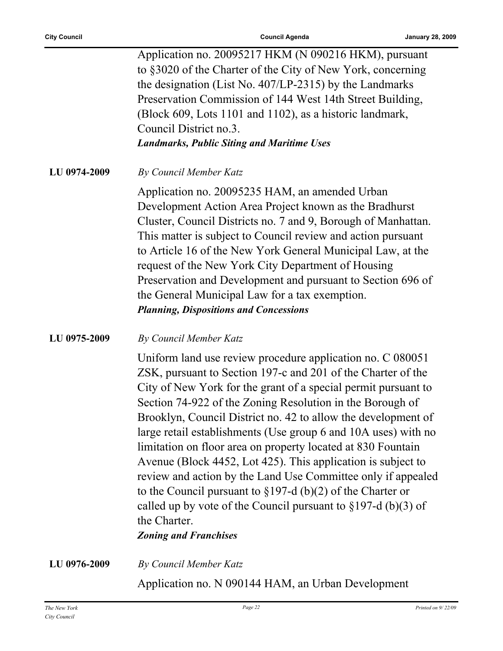Application no. 20095217 HKM (N 090216 HKM), pursuant to §3020 of the Charter of the City of New York, concerning the designation (List No. 407/LP-2315) by the Landmarks Preservation Commission of 144 West 14th Street Building, (Block 609, Lots 1101 and 1102), as a historic landmark, Council District no.3. *Landmarks, Public Siting and Maritime Uses*

**LU 0974-2009** *By Council Member Katz*

Application no. 20095235 HAM, an amended Urban Development Action Area Project known as the Bradhurst Cluster, Council Districts no. 7 and 9, Borough of Manhattan. This matter is subject to Council review and action pursuant to Article 16 of the New York General Municipal Law, at the request of the New York City Department of Housing Preservation and Development and pursuant to Section 696 of the General Municipal Law for a tax exemption. *Planning, Dispositions and Concessions*

#### **LU 0975-2009** *By Council Member Katz*

Uniform land use review procedure application no. C 080051 ZSK, pursuant to Section 197-c and 201 of the Charter of the City of New York for the grant of a special permit pursuant to Section 74-922 of the Zoning Resolution in the Borough of Brooklyn, Council District no. 42 to allow the development of large retail establishments (Use group 6 and 10A uses) with no limitation on floor area on property located at 830 Fountain Avenue (Block 4452, Lot 425). This application is subject to review and action by the Land Use Committee only if appealed to the Council pursuant to §197-d (b)(2) of the Charter or called up by vote of the Council pursuant to  $\S 197-d$  (b)(3) of the Charter.

#### *Zoning and Franchises*

**LU 0976-2009** *By Council Member Katz*

Application no. N 090144 HAM, an Urban Development